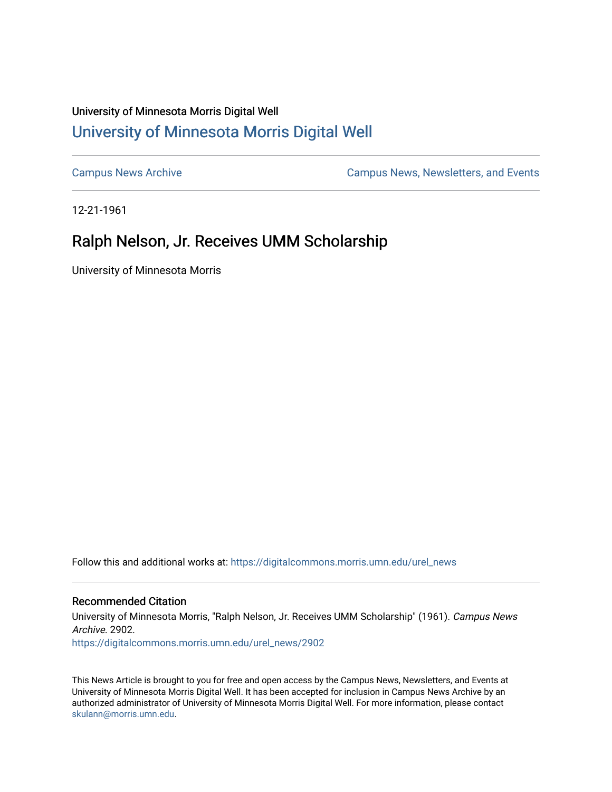## University of Minnesota Morris Digital Well [University of Minnesota Morris Digital Well](https://digitalcommons.morris.umn.edu/)

[Campus News Archive](https://digitalcommons.morris.umn.edu/urel_news) [Campus News, Newsletters, and Events](https://digitalcommons.morris.umn.edu/externalrel) 

12-21-1961

## Ralph Nelson, Jr. Receives UMM Scholarship

University of Minnesota Morris

Follow this and additional works at: [https://digitalcommons.morris.umn.edu/urel\\_news](https://digitalcommons.morris.umn.edu/urel_news?utm_source=digitalcommons.morris.umn.edu%2Furel_news%2F2902&utm_medium=PDF&utm_campaign=PDFCoverPages) 

## Recommended Citation

University of Minnesota Morris, "Ralph Nelson, Jr. Receives UMM Scholarship" (1961). Campus News Archive. 2902. [https://digitalcommons.morris.umn.edu/urel\\_news/2902](https://digitalcommons.morris.umn.edu/urel_news/2902?utm_source=digitalcommons.morris.umn.edu%2Furel_news%2F2902&utm_medium=PDF&utm_campaign=PDFCoverPages) 

This News Article is brought to you for free and open access by the Campus News, Newsletters, and Events at University of Minnesota Morris Digital Well. It has been accepted for inclusion in Campus News Archive by an authorized administrator of University of Minnesota Morris Digital Well. For more information, please contact [skulann@morris.umn.edu.](mailto:skulann@morris.umn.edu)